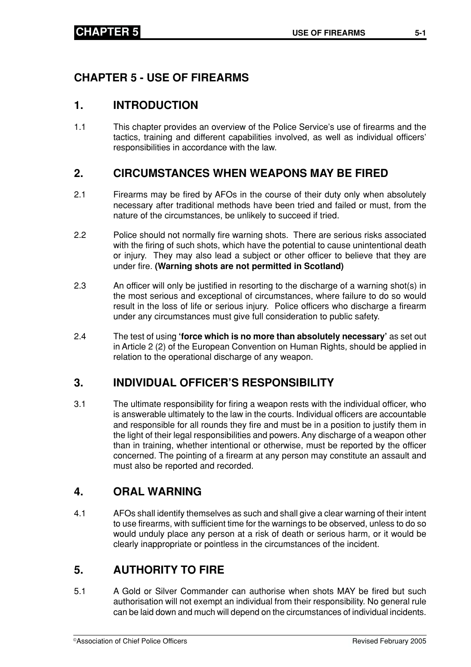# **CHAPTER 5 - USE OF FIREARMS**

## **1. INTRODUCTION**

1.1 This chapter provides an overview of the Police Service's use of firearms and the tactics, training and different capabilities involved, as well as individual officers' responsibilities in accordance with the law.

# **2. CIRCUMSTANCES WHEN WEAPONS MAY BE FIRED**

- 2.1 Firearms may be fired by AFOs in the course of their duty only when absolutely necessary after traditional methods have been tried and failed or must, from the nature of the circumstances, be unlikely to succeed if tried.
- 2.2 Police should not normally fire warning shots. There are serious risks associated with the firing of such shots, which have the potential to cause unintentional death or injury. They may also lead a subject or other officer to believe that they are under fire. **(Warning shots are not permitted in Scotland)**
- 2.3 An officer will only be justified in resorting to the discharge of a warning shot(s) in the most serious and exceptional of circumstances, where failure to do so would result in the loss of life or serious injury. Police officers who discharge a firearm under any circumstances must give full consideration to public safety.
- 2.4 The test of using **'force which is no more than absolutely necessary'** as set out in Article 2 (2) of the European Convention on Human Rights, should be applied in relation to the operational discharge of any weapon.

# **3. INDIVIDUAL OFFICER'S RESPONSIBILITY**

3.1 The ultimate responsibility for firing a weapon rests with the individual officer, who is answerable ultimately to the law in the courts. Individual officers are accountable and responsible for all rounds they fire and must be in a position to justify them in the light of their legal responsibilities and powers. Any discharge of a weapon other than in training, whether intentional or otherwise, must be reported by the officer concerned. The pointing of a firearm at any person may constitute an assault and must also be reported and recorded.

# **4. ORAL WARNING**

4.1 AFOs shall identify themselves as such and shall give a clear warning of their intent to use firearms, with sufficient time for the warnings to be observed, unless to do so would unduly place any person at a risk of death or serious harm, or it would be clearly inappropriate or pointless in the circumstances of the incident.

# **5. AUTHORITY TO FIRE**

5.1 A Gold or Silver Commander can authorise when shots MAY be fired but such authorisation will not exempt an individual from their responsibility. No general rule can be laid down and much will depend on the circumstances of individual incidents.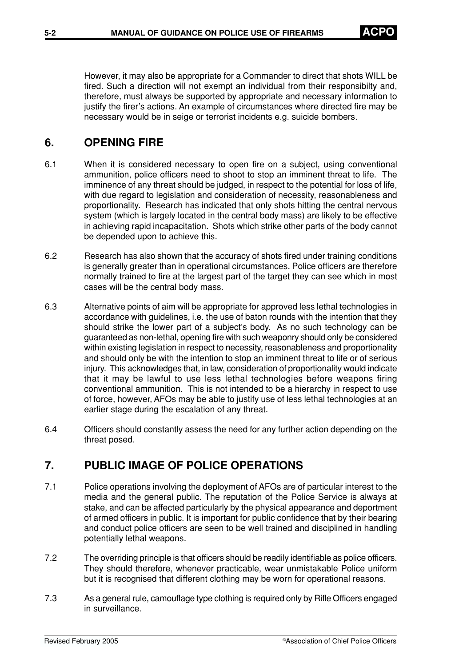However, it may also be appropriate for a Commander to direct that shots WILL be fired. Such a direction will not exempt an individual from their responsibilty and, therefore, must always be supported by appropriate and necessary information to justify the firer's actions. An example of circumstances where directed fire may be necessary would be in seige or terrorist incidents e.g. suicide bombers.

# **6. OPENING FIRE**

- 6.1 When it is considered necessary to open fire on a subject, using conventional ammunition, police officers need to shoot to stop an imminent threat to life. The imminence of any threat should be judged, in respect to the potential for loss of life, with due regard to legislation and consideration of necessity, reasonableness and proportionality. Research has indicated that only shots hitting the central nervous system (which is largely located in the central body mass) are likely to be effective in achieving rapid incapacitation. Shots which strike other parts of the body cannot be depended upon to achieve this.
- 6.2 Research has also shown that the accuracy of shots fired under training conditions is generally greater than in operational circumstances. Police officers are therefore normally trained to fire at the largest part of the target they can see which in most cases will be the central body mass.
- 6.3 Alternative points of aim will be appropriate for approved less lethal technologies in accordance with guidelines, i.e. the use of baton rounds with the intention that they should strike the lower part of a subject's body. As no such technology can be guaranteed as non-lethal, opening fire with such weaponry should only be considered within existing legislation in respect to necessity, reasonableness and proportionality and should only be with the intention to stop an imminent threat to life or of serious injury. This acknowledges that, in law, consideration of proportionality would indicate that it may be lawful to use less lethal technologies before weapons firing conventional ammunition. This is not intended to be a hierarchy in respect to use of force, however, AFOs may be able to justify use of less lethal technologies at an earlier stage during the escalation of any threat.
- 6.4 Officers should constantly assess the need for any further action depending on the threat posed.

# **7. PUBLIC IMAGE OF POLICE OPERATIONS**

- 7.1 Police operations involving the deployment of AFOs are of particular interest to the media and the general public. The reputation of the Police Service is always at stake, and can be affected particularly by the physical appearance and deportment of armed officers in public. It is important for public confidence that by their bearing and conduct police officers are seen to be well trained and disciplined in handling potentially lethal weapons.
- 7.2 The overriding principle is that officers should be readily identifiable as police officers. They should therefore, whenever practicable, wear unmistakable Police uniform but it is recognised that different clothing may be worn for operational reasons.
- 7.3 As a general rule, camouflage type clothing is required only by Rifle Officers engaged in surveillance.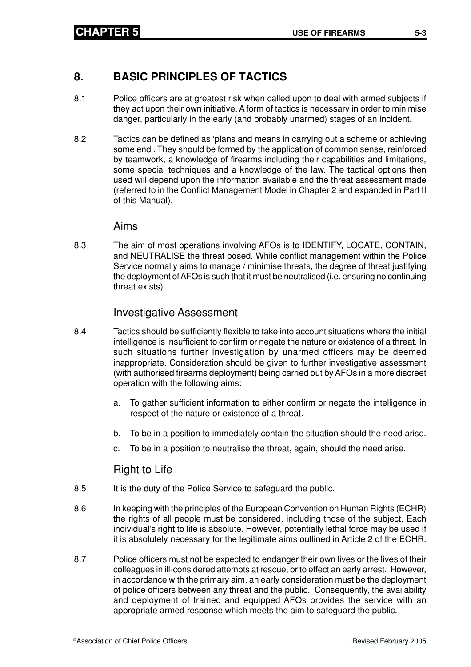## **8. BASIC PRINCIPLES OF TACTICS**

- 8.1 Police officers are at greatest risk when called upon to deal with armed subjects if they act upon their own initiative. A form of tactics is necessary in order to minimise danger, particularly in the early (and probably unarmed) stages of an incident.
- 8.2 Tactics can be defined as 'plans and means in carrying out a scheme or achieving some end'. They should be formed by the application of common sense, reinforced by teamwork, a knowledge of firearms including their capabilities and limitations, some special techniques and a knowledge of the law. The tactical options then used will depend upon the information available and the threat assessment made (referred to in the Conflict Management Model in Chapter 2 and expanded in Part II of this Manual).

#### Aims

8.3 The aim of most operations involving AFOs is to IDENTIFY, LOCATE, CONTAIN, and NEUTRALISE the threat posed. While conflict management within the Police Service normally aims to manage / minimise threats, the degree of threat justifying the deployment of AFOs is such that it must be neutralised (i.e. ensuring no continuing threat exists).

### Investigative Assessment

- 8.4 Tactics should be sufficiently flexible to take into account situations where the initial intelligence is insufficient to confirm or negate the nature or existence of a threat. In such situations further investigation by unarmed officers may be deemed inappropriate. Consideration should be given to further investigative assessment (with authorised firearms deployment) being carried out by AFOs in a more discreet operation with the following aims:
	- a. To gather sufficient information to either confirm or negate the intelligence in respect of the nature or existence of a threat.
	- b. To be in a position to immediately contain the situation should the need arise.
	- c. To be in a position to neutralise the threat, again, should the need arise.

#### Right to Life

- 8.5 It is the duty of the Police Service to safeguard the public.
- 8.6 In keeping with the principles of the European Convention on Human Rights (ECHR) the rights of all people must be considered, including those of the subject. Each individual's right to life is absolute. However, potentially lethal force may be used if it is absolutely necessary for the legitimate aims outlined in Article 2 of the ECHR.
- 8.7 Police officers must not be expected to endanger their own lives or the lives of their colleagues in ill-considered attempts at rescue, or to effect an early arrest. However, in accordance with the primary aim, an early consideration must be the deployment of police officers between any threat and the public. Consequently, the availability and deployment of trained and equipped AFOs provides the service with an appropriate armed response which meets the aim to safeguard the public.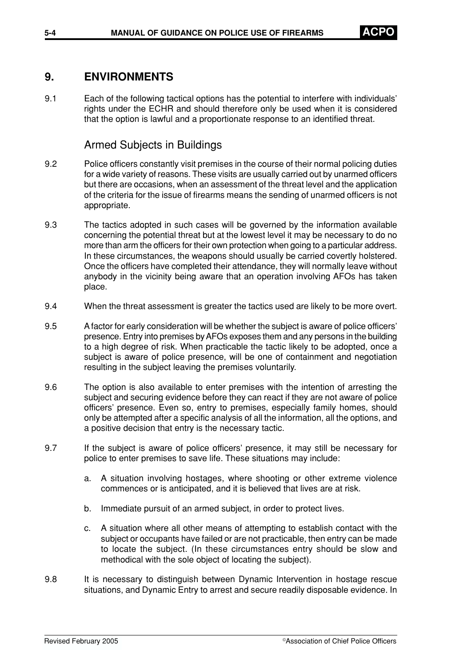## **9. ENVIRONMENTS**

9.1 Each of the following tactical options has the potential to interfere with individuals' rights under the ECHR and should therefore only be used when it is considered that the option is lawful and a proportionate response to an identified threat.

### Armed Subjects in Buildings

- 9.2 Police officers constantly visit premises in the course of their normal policing duties for a wide variety of reasons. These visits are usually carried out by unarmed officers but there are occasions, when an assessment of the threat level and the application of the criteria for the issue of firearms means the sending of unarmed officers is not appropriate.
- 9.3 The tactics adopted in such cases will be governed by the information available concerning the potential threat but at the lowest level it may be necessary to do no more than arm the officers for their own protection when going to a particular address. In these circumstances, the weapons should usually be carried covertly holstered. Once the officers have completed their attendance, they will normally leave without anybody in the vicinity being aware that an operation involving AFOs has taken place.
- 9.4 When the threat assessment is greater the tactics used are likely to be more overt.
- 9.5 A factor for early consideration will be whether the subject is aware of police officers' presence. Entry into premises by AFOs exposes them and any persons in the building to a high degree of risk. When practicable the tactic likely to be adopted, once a subject is aware of police presence, will be one of containment and negotiation resulting in the subject leaving the premises voluntarily.
- 9.6 The option is also available to enter premises with the intention of arresting the subject and securing evidence before they can react if they are not aware of police officers' presence. Even so, entry to premises, especially family homes, should only be attempted after a specific analysis of all the information, all the options, and a positive decision that entry is the necessary tactic.
- 9.7 If the subject is aware of police officers' presence, it may still be necessary for police to enter premises to save life. These situations may include:
	- a. A situation involving hostages, where shooting or other extreme violence commences or is anticipated, and it is believed that lives are at risk.
	- b. Immediate pursuit of an armed subject, in order to protect lives.
	- c. A situation where all other means of attempting to establish contact with the subject or occupants have failed or are not practicable, then entry can be made to locate the subject. (In these circumstances entry should be slow and methodical with the sole object of locating the subject).
- 9.8 It is necessary to distinguish between Dynamic Intervention in hostage rescue situations, and Dynamic Entry to arrest and secure readily disposable evidence. In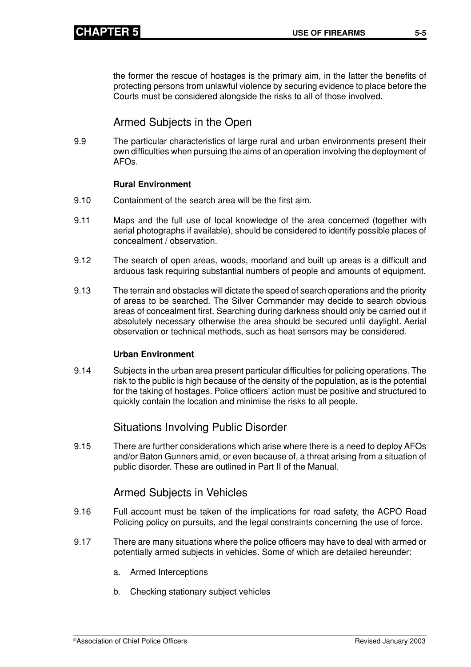the former the rescue of hostages is the primary aim, in the latter the benefits of protecting persons from unlawful violence by securing evidence to place before the Courts must be considered alongside the risks to all of those involved.

# Armed Subjects in the Open

9.9 The particular characteristics of large rural and urban environments present their own difficulties when pursuing the aims of an operation involving the deployment of AFOs.

#### **Rural Environment**

- 9.10 Containment of the search area will be the first aim.
- 9.11 Maps and the full use of local knowledge of the area concerned (together with aerial photographs if available), should be considered to identify possible places of concealment / observation.
- 9.12 The search of open areas, woods, moorland and built up areas is a difficult and arduous task requiring substantial numbers of people and amounts of equipment.
- 9.13 The terrain and obstacles will dictate the speed of search operations and the priority of areas to be searched. The Silver Commander may decide to search obvious areas of concealment first. Searching during darkness should only be carried out if absolutely necessary otherwise the area should be secured until daylight. Aerial observation or technical methods, such as heat sensors may be considered.

#### **Urban Environment**

9.14 Subjects in the urban area present particular difficulties for policing operations. The risk to the public is high because of the density of the population, as is the potential for the taking of hostages. Police officers' action must be positive and structured to quickly contain the location and minimise the risks to all people.

### Situations Involving Public Disorder

9.15 There are further considerations which arise where there is a need to deploy AFOs and/or Baton Gunners amid, or even because of, a threat arising from a situation of public disorder. These are outlined in Part II of the Manual.

### Armed Subjects in Vehicles

- 9.16 Full account must be taken of the implications for road safety, the ACPO Road Policing policy on pursuits, and the legal constraints concerning the use of force.
- 9.17 There are many situations where the police officers may have to deal with armed or potentially armed subjects in vehicles. Some of which are detailed hereunder:
	- a. Armed Interceptions
	- b. Checking stationary subject vehicles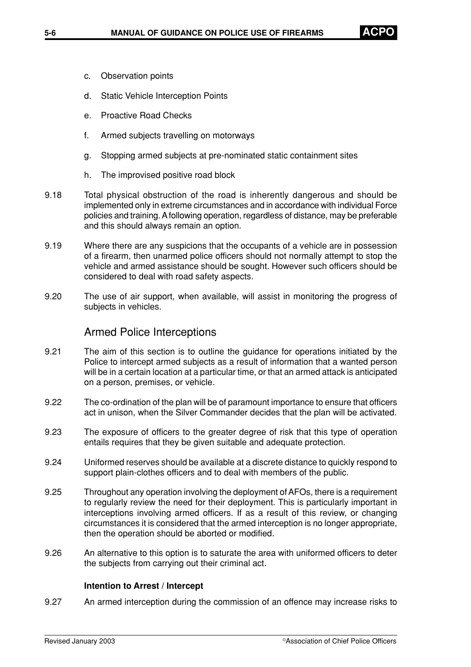- c. Observation points
- d. Static Vehicle Interception Points
- e. Proactive Road Checks
- f. Armed subjects travelling on motorways
- g. Stopping armed subjects at pre-nominated static containment sites
- h. The improvised positive road block
- 9.18 Total physical obstruction of the road is inherently dangerous and should be implemented only in extreme circumstances and in accordance with individual Force policies and training. A following operation, regardless of distance, may be preferable and this should always remain an option.
- 9.19 Where there are any suspicions that the occupants of a vehicle are in possession of a firearm, then unarmed police officers should not normally attempt to stop the vehicle and armed assistance should be sought. However such officers should be considered to deal with road safety aspects.
- 9.20 The use of air support, when available, will assist in monitoring the progress of subjects in vehicles.

### Armed Police Interceptions

- 9.21 The aim of this section is to outline the guidance for operations initiated by the Police to intercept armed subjects as a result of information that a wanted person will be in a certain location at a particular time, or that an armed attack is anticipated on a person, premises, or vehicle.
- 9.22 The co-ordination of the plan will be of paramount importance to ensure that officers act in unison, when the Silver Commander decides that the plan will be activated.
- 9.23 The exposure of officers to the greater degree of risk that this type of operation entails requires that they be given suitable and adequate protection.
- 9.24 Uniformed reserves should be available at a discrete distance to quickly respond to support plain-clothes officers and to deal with members of the public.
- 9.25 Throughout any operation involving the deployment of AFOs, there is a requirement to regularly review the need for their deployment. This is particularly important in interceptions involving armed officers. If as a result of this review, or changing circumstances it is considered that the armed interception is no longer appropriate, then the operation should be aborted or modified.
- 9.26 An alternative to this option is to saturate the area with uniformed officers to deter the subjects from carrying out their criminal act.

#### **Intention to Arrest / Intercept**

9.27 An armed interception during the commission of an offence may increase risks to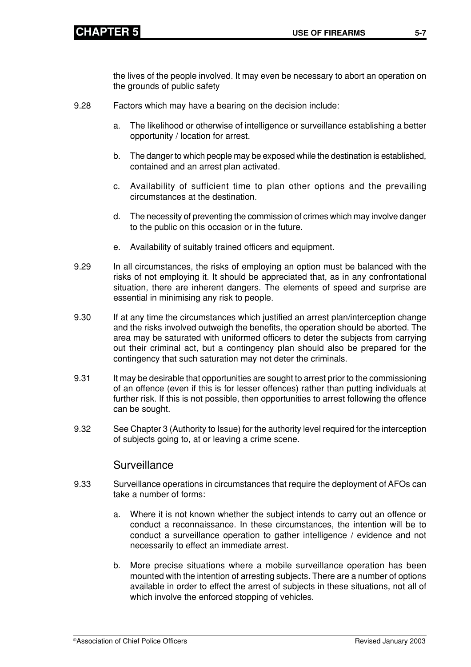the lives of the people involved. It may even be necessary to abort an operation on the grounds of public safety

- 9.28 Factors which may have a bearing on the decision include:
	- a. The likelihood or otherwise of intelligence or surveillance establishing a better opportunity / location for arrest.
	- b. The danger to which people may be exposed while the destination is established, contained and an arrest plan activated.
	- c. Availability of sufficient time to plan other options and the prevailing circumstances at the destination.
	- d. The necessity of preventing the commission of crimes which may involve danger to the public on this occasion or in the future.
	- e. Availability of suitably trained officers and equipment.
- 9.29 In all circumstances, the risks of employing an option must be balanced with the risks of not employing it. It should be appreciated that, as in any confrontational situation, there are inherent dangers. The elements of speed and surprise are essential in minimising any risk to people.
- 9.30 If at any time the circumstances which justified an arrest plan/interception change and the risks involved outweigh the benefits, the operation should be aborted. The area may be saturated with uniformed officers to deter the subjects from carrying out their criminal act, but a contingency plan should also be prepared for the contingency that such saturation may not deter the criminals.
- 9.31 It may be desirable that opportunities are sought to arrest prior to the commissioning of an offence (even if this is for lesser offences) rather than putting individuals at further risk. If this is not possible, then opportunities to arrest following the offence can be sought.
- 9.32 See Chapter 3 (Authority to Issue) for the authority level required for the interception of subjects going to, at or leaving a crime scene.

### Surveillance

- 9.33 Surveillance operations in circumstances that require the deployment of AFOs can take a number of forms:
	- a. Where it is not known whether the subject intends to carry out an offence or conduct a reconnaissance. In these circumstances, the intention will be to conduct a surveillance operation to gather intelligence / evidence and not necessarily to effect an immediate arrest.
	- b. More precise situations where a mobile surveillance operation has been mounted with the intention of arresting subjects. There are a number of options available in order to effect the arrest of subjects in these situations, not all of which involve the enforced stopping of vehicles.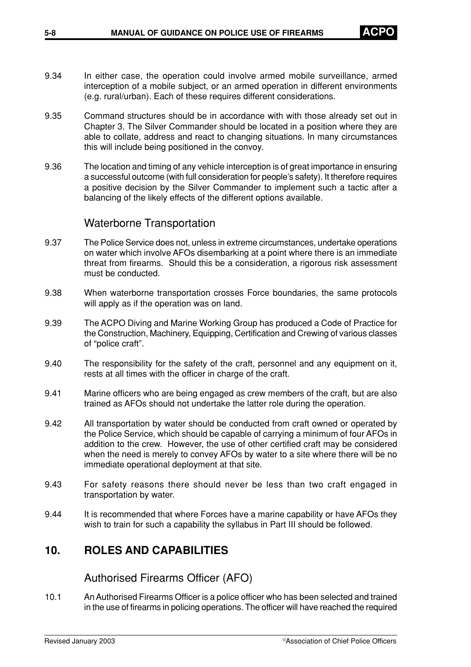- 9.34 In either case, the operation could involve armed mobile surveillance, armed interception of a mobile subject, or an armed operation in different environments (e.g. rural/urban). Each of these requires different considerations.
- 9.35 Command structures should be in accordance with with those already set out in Chapter 3. The Silver Commander should be located in a position where they are able to collate, address and react to changing situations. In many circumstances this will include being positioned in the convoy.
- 9.36 The location and timing of any vehicle interception is of great importance in ensuring a successful outcome (with full consideration for people's safety). It therefore requires a positive decision by the Silver Commander to implement such a tactic after a balancing of the likely effects of the different options available.

#### Waterborne Transportation

- 9.37 The Police Service does not, unless in extreme circumstances, undertake operations on water which involve AFOs disembarking at a point where there is an immediate threat from firearms. Should this be a consideration, a rigorous risk assessment must be conducted.
- 9.38 When waterborne transportation crosses Force boundaries, the same protocols will apply as if the operation was on land.
- 9.39 The ACPO Diving and Marine Working Group has produced a Code of Practice for the Construction, Machinery, Equipping, Certification and Crewing of various classes of "police craft".
- 9.40 The responsibility for the safety of the craft, personnel and any equipment on it, rests at all times with the officer in charge of the craft.
- 9.41 Marine officers who are being engaged as crew members of the craft, but are also trained as AFOs should not undertake the latter role during the operation.
- 9.42 All transportation by water should be conducted from craft owned or operated by the Police Service, which should be capable of carrying a minimum of four AFOs in addition to the crew. However, the use of other certified craft may be considered when the need is merely to convey AFOs by water to a site where there will be no immediate operational deployment at that site.
- 9.43 For safety reasons there should never be less than two craft engaged in transportation by water.
- 9.44 It is recommended that where Forces have a marine capability or have AFOs they wish to train for such a capability the syllabus in Part III should be followed.

### **10. ROLES AND CAPABILITIES**

Authorised Firearms Officer (AFO)

10.1 An Authorised Firearms Officer is a police officer who has been selected and trained in the use of firearms in policing operations. The officer will have reached the required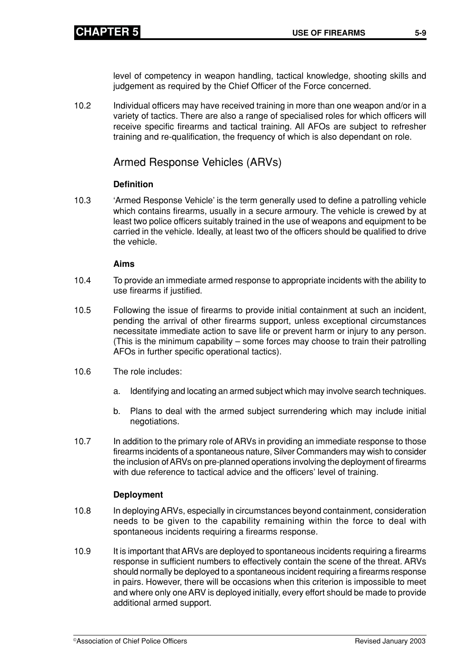level of competency in weapon handling, tactical knowledge, shooting skills and judgement as required by the Chief Officer of the Force concerned.

10.2 Individual officers may have received training in more than one weapon and/or in a variety of tactics. There are also a range of specialised roles for which officers will receive specific firearms and tactical training. All AFOs are subject to refresher training and re-qualification, the frequency of which is also dependant on role.

### Armed Response Vehicles (ARVs)

#### **Definition**

10.3 'Armed Response Vehicle' is the term generally used to define a patrolling vehicle which contains firearms, usually in a secure armoury. The vehicle is crewed by at least two police officers suitably trained in the use of weapons and equipment to be carried in the vehicle. Ideally, at least two of the officers should be qualified to drive the vehicle.

#### **Aims**

- 10.4 To provide an immediate armed response to appropriate incidents with the ability to use firearms if justified.
- 10.5 Following the issue of firearms to provide initial containment at such an incident, pending the arrival of other firearms support, unless exceptional circumstances necessitate immediate action to save life or prevent harm or injury to any person. (This is the minimum capability – some forces may choose to train their patrolling AFOs in further specific operational tactics).
- 10.6 The role includes:
	- a. Identifying and locating an armed subject which may involve search techniques.
	- b. Plans to deal with the armed subject surrendering which may include initial negotiations.
- 10.7 In addition to the primary role of ARVs in providing an immediate response to those firearms incidents of a spontaneous nature, Silver Commanders may wish to consider the inclusion of ARVs on pre-planned operations involving the deployment of firearms with due reference to tactical advice and the officers' level of training.

#### **Deployment**

- 10.8 In deploying ARVs, especially in circumstances beyond containment, consideration needs to be given to the capability remaining within the force to deal with spontaneous incidents requiring a firearms response.
- 10.9 It is important that ARVs are deployed to spontaneous incidents requiring a firearms response in sufficient numbers to effectively contain the scene of the threat. ARVs should normally be deployed to a spontaneous incident requiring a firearms response in pairs. However, there will be occasions when this criterion is impossible to meet and where only one ARV is deployed initially, every effort should be made to provide additional armed support.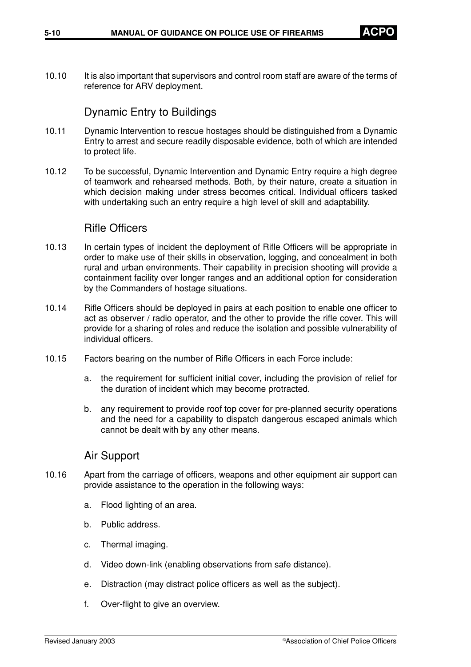10.10 It is also important that supervisors and control room staff are aware of the terms of reference for ARV deployment.

### Dynamic Entry to Buildings

- 10.11 Dynamic Intervention to rescue hostages should be distinguished from a Dynamic Entry to arrest and secure readily disposable evidence, both of which are intended to protect life.
- 10.12 To be successful, Dynamic Intervention and Dynamic Entry require a high degree of teamwork and rehearsed methods. Both, by their nature, create a situation in which decision making under stress becomes critical. Individual officers tasked with undertaking such an entry require a high level of skill and adaptability.

#### Rifle Officers

- 10.13 In certain types of incident the deployment of Rifle Officers will be appropriate in order to make use of their skills in observation, logging, and concealment in both rural and urban environments. Their capability in precision shooting will provide a containment facility over longer ranges and an additional option for consideration by the Commanders of hostage situations.
- 10.14 Rifle Officers should be deployed in pairs at each position to enable one officer to act as observer / radio operator, and the other to provide the rifle cover. This will provide for a sharing of roles and reduce the isolation and possible vulnerability of individual officers.
- 10.15 Factors bearing on the number of Rifle Officers in each Force include:
	- a. the requirement for sufficient initial cover, including the provision of relief for the duration of incident which may become protracted.
	- b. any requirement to provide roof top cover for pre-planned security operations and the need for a capability to dispatch dangerous escaped animals which cannot be dealt with by any other means.

### Air Support

- 10.16 Apart from the carriage of officers, weapons and other equipment air support can provide assistance to the operation in the following ways:
	- a. Flood lighting of an area.
	- b. Public address.
	- c. Thermal imaging.
	- d. Video down-link (enabling observations from safe distance).
	- e. Distraction (may distract police officers as well as the subject).
	- f. Over-flight to give an overview.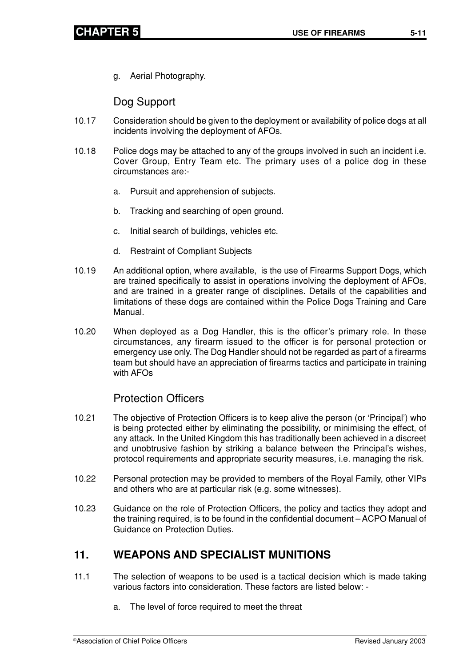g. Aerial Photography.

Dog Support

- 10.17 Consideration should be given to the deployment or availability of police dogs at all incidents involving the deployment of AFOs.
- 10.18 Police dogs may be attached to any of the groups involved in such an incident i.e. Cover Group, Entry Team etc. The primary uses of a police dog in these circumstances are:
	- a. Pursuit and apprehension of subjects.
	- b. Tracking and searching of open ground.
	- c. Initial search of buildings, vehicles etc.
	- d. Restraint of Compliant Subjects
- 10.19 An additional option, where available, is the use of Firearms Support Dogs, which are trained specifically to assist in operations involving the deployment of AFOs, and are trained in a greater range of disciplines. Details of the capabilities and limitations of these dogs are contained within the Police Dogs Training and Care Manual.
- 10.20 When deployed as a Dog Handler, this is the officer's primary role. In these circumstances, any firearm issued to the officer is for personal protection or emergency use only. The Dog Handler should not be regarded as part of a firearms team but should have an appreciation of firearms tactics and participate in training with AFOs

### Protection Officers

- 10.21 The objective of Protection Officers is to keep alive the person (or 'Principal') who is being protected either by eliminating the possibility, or minimising the effect, of any attack. In the United Kingdom this has traditionally been achieved in a discreet and unobtrusive fashion by striking a balance between the Principal's wishes, protocol requirements and appropriate security measures, i.e. managing the risk.
- 10.22 Personal protection may be provided to members of the Royal Family, other VIPs and others who are at particular risk (e.g. some witnesses).
- 10.23 Guidance on the role of Protection Officers, the policy and tactics they adopt and the training required, is to be found in the confidential document – ACPO Manual of Guidance on Protection Duties.

# **11. WEAPONS AND SPECIALIST MUNITIONS**

- 11.1 The selection of weapons to be used is a tactical decision which is made taking various factors into consideration. These factors are listed below:
	- a. The level of force required to meet the threat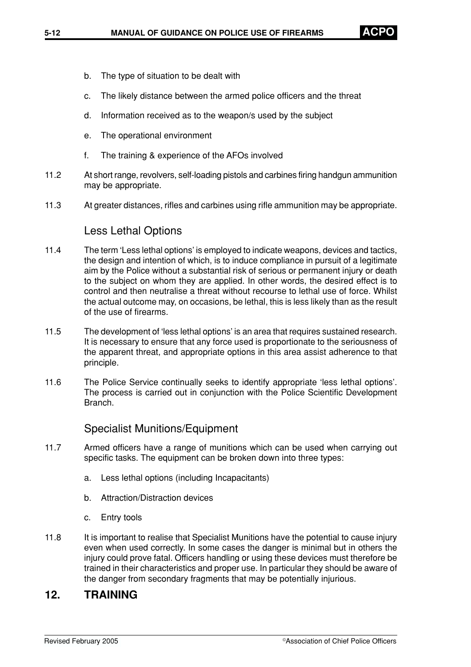- b. The type of situation to be dealt with
- c. The likely distance between the armed police officers and the threat
- d. Information received as to the weapon/s used by the subject
- e. The operational environment
- f. The training & experience of the AFOs involved
- 11.2 At short range, revolvers, self-loading pistols and carbines firing handgun ammunition may be appropriate.
- 11.3 At greater distances, rifles and carbines using rifle ammunition may be appropriate.

#### Less Lethal Options

- 11.4 The term 'Less lethal options' is employed to indicate weapons, devices and tactics, the design and intention of which, is to induce compliance in pursuit of a legitimate aim by the Police without a substantial risk of serious or permanent injury or death to the subject on whom they are applied. In other words, the desired effect is to control and then neutralise a threat without recourse to lethal use of force. Whilst the actual outcome may, on occasions, be lethal, this is less likely than as the result of the use of firearms.
- 11.5 The development of 'less lethal options' is an area that requires sustained research. It is necessary to ensure that any force used is proportionate to the seriousness of the apparent threat, and appropriate options in this area assist adherence to that principle.
- 11.6 The Police Service continually seeks to identify appropriate 'less lethal options'. The process is carried out in conjunction with the Police Scientific Development Branch.

Specialist Munitions/Equipment

- 11.7 Armed officers have a range of munitions which can be used when carrying out specific tasks. The equipment can be broken down into three types:
	- a. Less lethal options (including Incapacitants)
	- b. Attraction/Distraction devices
	- c. Entry tools
- 11.8 It is important to realise that Specialist Munitions have the potential to cause injury even when used correctly. In some cases the danger is minimal but in others the injury could prove fatal. Officers handling or using these devices must therefore be trained in their characteristics and proper use. In particular they should be aware of the danger from secondary fragments that may be potentially injurious.

### **12. TRAINING**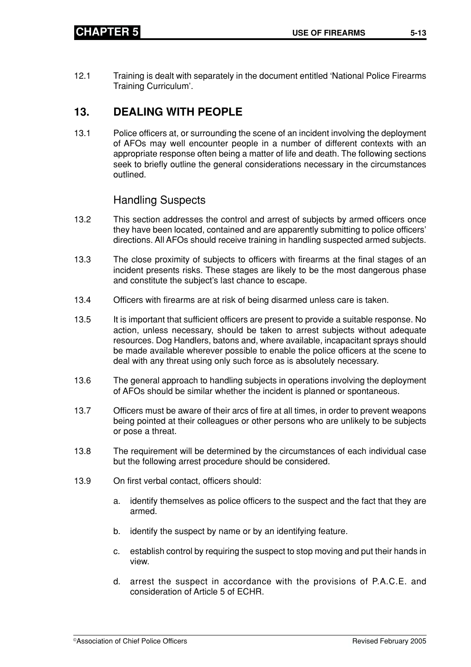- 
- 12.1 Training is dealt with separately in the document entitled 'National Police Firearms Training Curriculum'.

# **13. DEALING WITH PEOPLE**

13.1 Police officers at, or surrounding the scene of an incident involving the deployment of AFOs may well encounter people in a number of different contexts with an appropriate response often being a matter of life and death. The following sections seek to briefly outline the general considerations necessary in the circumstances outlined.

# Handling Suspects

- 13.2 This section addresses the control and arrest of subjects by armed officers once they have been located, contained and are apparently submitting to police officers' directions. All AFOs should receive training in handling suspected armed subjects.
- 13.3 The close proximity of subjects to officers with firearms at the final stages of an incident presents risks. These stages are likely to be the most dangerous phase and constitute the subject's last chance to escape.
- 13.4 Officers with firearms are at risk of being disarmed unless care is taken.
- 13.5 It is important that sufficient officers are present to provide a suitable response. No action, unless necessary, should be taken to arrest subjects without adequate resources. Dog Handlers, batons and, where available, incapacitant sprays should be made available wherever possible to enable the police officers at the scene to deal with any threat using only such force as is absolutely necessary.
- 13.6 The general approach to handling subjects in operations involving the deployment of AFOs should be similar whether the incident is planned or spontaneous.
- 13.7 Officers must be aware of their arcs of fire at all times, in order to prevent weapons being pointed at their colleagues or other persons who are unlikely to be subjects or pose a threat.
- 13.8 The requirement will be determined by the circumstances of each individual case but the following arrest procedure should be considered.
- 13.9 On first verbal contact, officers should:
	- a. identify themselves as police officers to the suspect and the fact that they are armed.
	- b. identify the suspect by name or by an identifying feature.
	- c. establish control by requiring the suspect to stop moving and put their hands in view.
	- d. arrest the suspect in accordance with the provisions of P.A.C.E. and consideration of Article 5 of ECHR.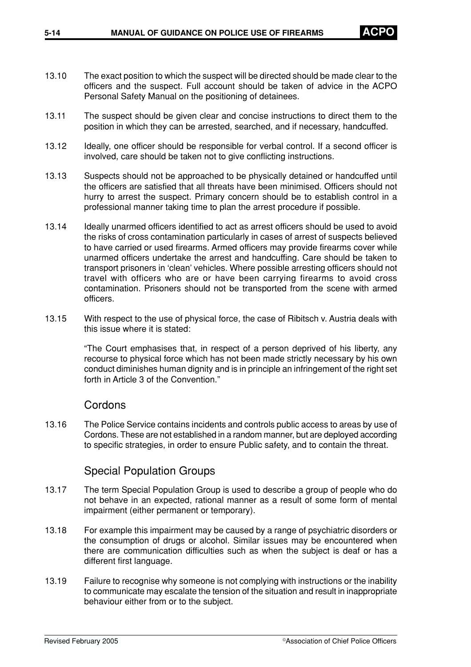- 13.10 The exact position to which the suspect will be directed should be made clear to the officers and the suspect. Full account should be taken of advice in the ACPO Personal Safety Manual on the positioning of detainees.
- 13.11 The suspect should be given clear and concise instructions to direct them to the position in which they can be arrested, searched, and if necessary, handcuffed.
- 13.12 Ideally, one officer should be responsible for verbal control. If a second officer is involved, care should be taken not to give conflicting instructions.
- 13.13 Suspects should not be approached to be physically detained or handcuffed until the officers are satisfied that all threats have been minimised. Officers should not hurry to arrest the suspect. Primary concern should be to establish control in a professional manner taking time to plan the arrest procedure if possible.
- 13.14 Ideally unarmed officers identified to act as arrest officers should be used to avoid the risks of cross contamination particularly in cases of arrest of suspects believed to have carried or used firearms. Armed officers may provide firearms cover while unarmed officers undertake the arrest and handcuffing. Care should be taken to transport prisoners in 'clean' vehicles. Where possible arresting officers should not travel with officers who are or have been carrying firearms to avoid cross contamination. Prisoners should not be transported from the scene with armed officers.
- 13.15 With respect to the use of physical force, the case of Ribitsch v. Austria deals with this issue where it is stated:

"The Court emphasises that, in respect of a person deprived of his liberty, any recourse to physical force which has not been made strictly necessary by his own conduct diminishes human dignity and is in principle an infringement of the right set forth in Article 3 of the Convention."

#### **Cordons**

13.16 The Police Service contains incidents and controls public access to areas by use of Cordons. These are not established in a random manner, but are deployed according to specific strategies, in order to ensure Public safety, and to contain the threat.

#### Special Population Groups

- 13.17 The term Special Population Group is used to describe a group of people who do not behave in an expected, rational manner as a result of some form of mental impairment (either permanent or temporary).
- 13.18 For example this impairment may be caused by a range of psychiatric disorders or the consumption of drugs or alcohol. Similar issues may be encountered when there are communication difficulties such as when the subject is deaf or has a different first language.
- 13.19 Failure to recognise why someone is not complying with instructions or the inability to communicate may escalate the tension of the situation and result in inappropriate behaviour either from or to the subject.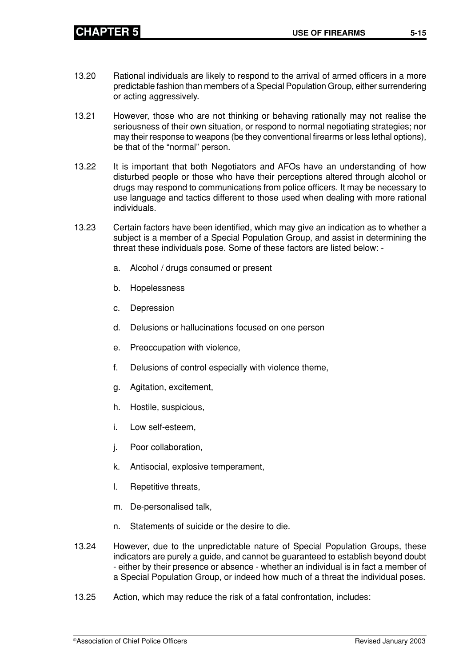- 13.20 Rational individuals are likely to respond to the arrival of armed officers in a more predictable fashion than members of a Special Population Group, either surrendering or acting aggressively.
- 13.21 However, those who are not thinking or behaving rationally may not realise the seriousness of their own situation, or respond to normal negotiating strategies; nor may their response to weapons (be they conventional firearms or less lethal options), be that of the "normal" person.
- 13.22 It is important that both Negotiators and AFOs have an understanding of how disturbed people or those who have their perceptions altered through alcohol or drugs may respond to communications from police officers. It may be necessary to use language and tactics different to those used when dealing with more rational individuals.
- 13.23 Certain factors have been identified, which may give an indication as to whether a subject is a member of a Special Population Group, and assist in determining the threat these individuals pose. Some of these factors are listed below:
	- a. Alcohol / drugs consumed or present
	- b. Hopelessness
	- c. Depression
	- d. Delusions or hallucinations focused on one person
	- e. Preoccupation with violence,
	- f. Delusions of control especially with violence theme,
	- g. Agitation, excitement,
	- h. Hostile, suspicious,
	- i. Low self-esteem,
	- j. Poor collaboration,
	- k. Antisocial, explosive temperament,
	- l. Repetitive threats,
	- m. De-personalised talk,
	- n. Statements of suicide or the desire to die.
- 13.24 However, due to the unpredictable nature of Special Population Groups, these indicators are purely a guide, and cannot be guaranteed to establish beyond doubt - either by their presence or absence - whether an individual is in fact a member of a Special Population Group, or indeed how much of a threat the individual poses.
- 13.25 Action, which may reduce the risk of a fatal confrontation, includes: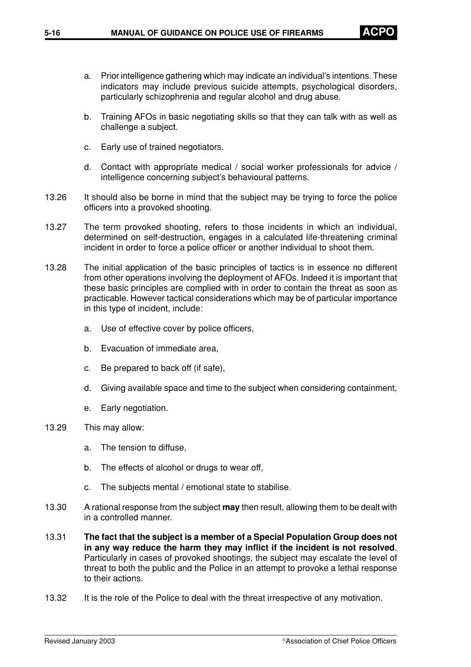- a. Prior intelligence gathering which may indicate an individual's intentions. These indicators may include previous suicide attempts, psychological disorders, particularly schizophrenia and regular alcohol and drug abuse.
- b. Training AFOs in basic negotiating skills so that they can talk with as well as challenge a subject.
- c. Early use of trained negotiators.
- d. Contact with appropriate medical / social worker professionals for advice / intelligence concerning subject's behavioural patterns.
- 13.26 It should also be borne in mind that the subject may be trying to force the police officers into a provoked shooting.
- 13.27 The term provoked shooting, refers to those incidents in which an individual, determined on self-destruction, engages in a calculated life-threatening criminal incident in order to force a police officer or another individual to shoot them.
- 13.28 The initial application of the basic principles of tactics is in essence no different from other operations involving the deployment of AFOs. Indeed it is important that these basic principles are complied with in order to contain the threat as soon as practicable. However tactical considerations which may be of particular importance in this type of incident, include:
	- a. Use of effective cover by police officers,
	- b. Evacuation of immediate area,
	- c. Be prepared to back off (if safe),
	- d. Giving available space and time to the subject when considering containment,
	- e. Early negotiation.
- 13.29 This may allow:
	- a. The tension to diffuse,
	- b. The effects of alcohol or drugs to wear off,
	- c. The subjects mental / emotional state to stabilise.
- 13.30 A rational response from the subject **may** then result, allowing them to be dealt with in a controlled manner.
- 13.31 **The fact that the subject is a member of a Special Population Group does not in any way reduce the harm they may inflict if the incident is not resolved**. Particularly in cases of provoked shootings, the subject may escalate the level of threat to both the public and the Police in an attempt to provoke a lethal response to their actions.
- 13.32 It is the role of the Police to deal with the threat irrespective of any motivation.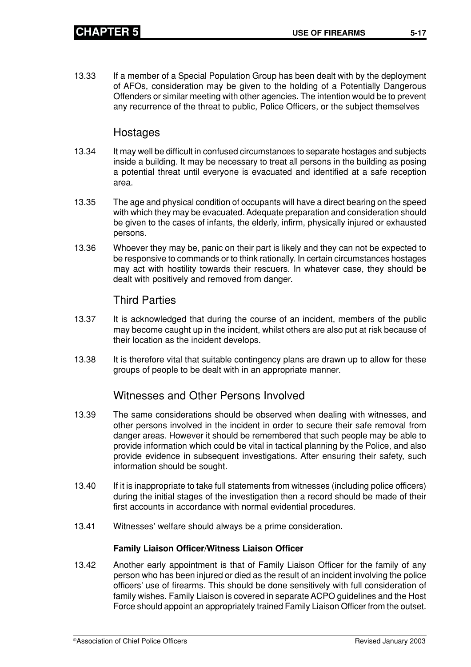13.33 If a member of a Special Population Group has been dealt with by the deployment of AFOs, consideration may be given to the holding of a Potentially Dangerous Offenders or similar meeting with other agencies. The intention would be to prevent any recurrence of the threat to public, Police Officers, or the subject themselves

## Hostages

- 13.34 It may well be difficult in confused circumstances to separate hostages and subjects inside a building. It may be necessary to treat all persons in the building as posing a potential threat until everyone is evacuated and identified at a safe reception area.
- 13.35 The age and physical condition of occupants will have a direct bearing on the speed with which they may be evacuated. Adequate preparation and consideration should be given to the cases of infants, the elderly, infirm, physically injured or exhausted persons.
- 13.36 Whoever they may be, panic on their part is likely and they can not be expected to be responsive to commands or to think rationally. In certain circumstances hostages may act with hostility towards their rescuers. In whatever case, they should be dealt with positively and removed from danger.

## Third Parties

- 13.37 It is acknowledged that during the course of an incident, members of the public may become caught up in the incident, whilst others are also put at risk because of their location as the incident develops.
- 13.38 It is therefore vital that suitable contingency plans are drawn up to allow for these groups of people to be dealt with in an appropriate manner.

# Witnesses and Other Persons Involved

- 13.39 The same considerations should be observed when dealing with witnesses, and other persons involved in the incident in order to secure their safe removal from danger areas. However it should be remembered that such people may be able to provide information which could be vital in tactical planning by the Police, and also provide evidence in subsequent investigations. After ensuring their safety, such information should be sought.
- 13.40 If it is inappropriate to take full statements from witnesses (including police officers) during the initial stages of the investigation then a record should be made of their first accounts in accordance with normal evidential procedures.
- 13.41 Witnesses' welfare should always be a prime consideration.

#### **Family Liaison Officer/Witness Liaison Officer**

13.42 Another early appointment is that of Family Liaison Officer for the family of any person who has been injured or died as the result of an incident involving the police officers' use of firearms. This should be done sensitively with full consideration of family wishes. Family Liaison is covered in separate ACPO guidelines and the Host Force should appoint an appropriately trained Family Liaison Officer from the outset.